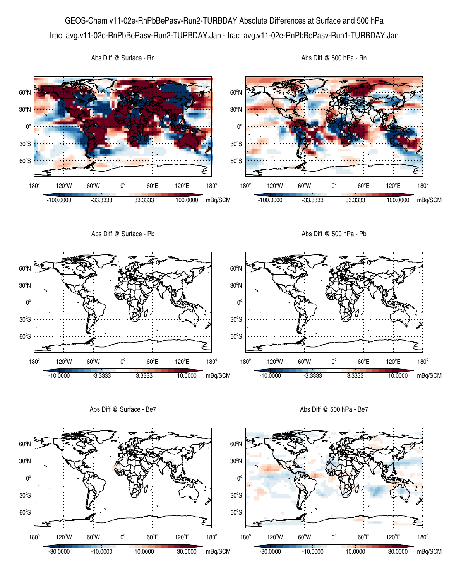GEOS-Chem v11-02e-RnPbBePasv-Run2-TURBDAY Absolute Differences at Surface and 500 hPa trac\_avg.v11-02e-RnPbBePasv-Run2-TURBDAY.Jan - trac\_avg.v11-02e-RnPbBePasv-Run1-TURBDAY.Jan



Abs Diff @ Surface - Be7

Abs Diff @ 500 hPa - Be7